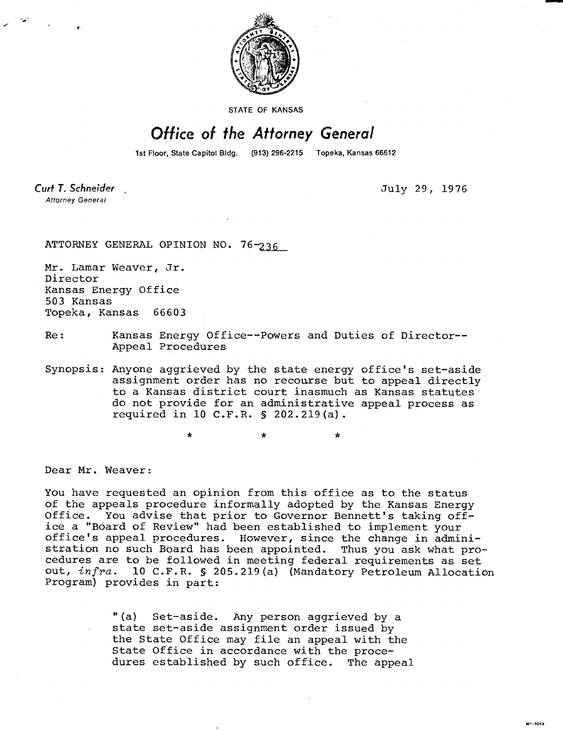

STATE OF KANSAS

## Office of the Attorney General

1st Floor, State Capitol Bldg. (913) 296-2215 Topeka, Kansas 66612

Curt T. Schneider **Attorney General** 

July 29, 1976

**MI-1043** 

ATTORNEY GENERAL OPINION NO. 76-236

Mr. Lamar Weaver, Jr. Director Kansas Energy Office 503 Kansas Topeka, Kansas 66603

Re: Kansas Energy Office--Powers and Duties of Director-- Appeal Procedures

Synopsis: Anyone aggrieved by the state energy office's set-aside assignment order has no recourse but to appeal directly to a Kansas district court inasmuch as Kansas statutes do not provide for an administrative appeal process as required in 10 C.F.R. § 202.219(a).

Dear Mr. Weaver:

You have requested an opinion from this office as to the status of the appeals procedure informally adopted by the Kansas Energy Office. You advise that prior to Governor Bennett's taking office a "Board of Review" had been established to implement your office's appeal procedures. However, since the change in administration no such Board has been appointed. Thus you ask what procedures are to be followed in meeting federal requirements as set out, infra. 10 C.F.R. § 205.219(a) (Mandatory Petroleum Allocation Program) provides in part:

> "(a) Set-aside. Any person aggrieved by a state set-aside assignment order issued by the State Office may file an appeal with the State Office in accordance with the procedures established by such office. The appeal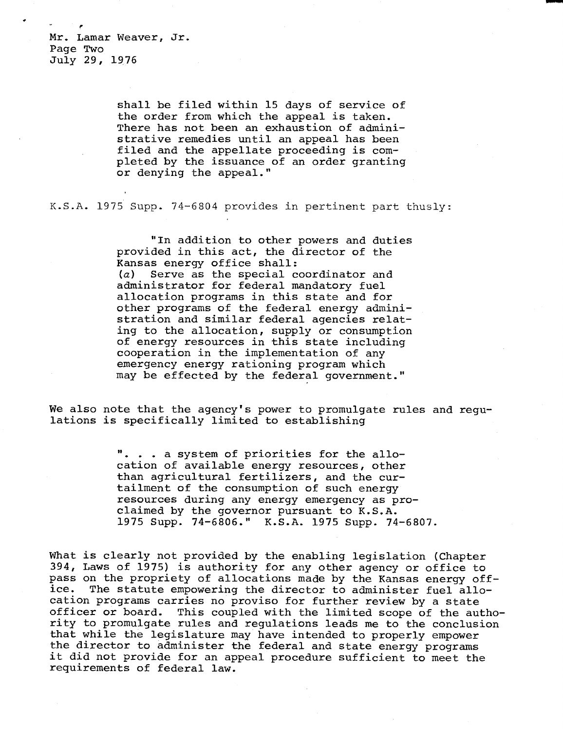Mr. Lamar Weaver, Jr. Page Two July 29, 1976

> shall be filed within 15 days of service of the order from which the appeal is taken. There has not been an exhaustion of administrative remedies until an appeal has been filed and the appellate proceeding is completed by the issuance of an order granting or denying the appeal."

K.S.A. 1975 Supp. 74-6804 provides in pertinent part thusly:

"In addition to other powers and duties provided in this act, the director of the Kansas energy office shall: (a) Serve as the special coordinator and administrator for federal mandatory fuel allocation programs in this state and for other programs of the federal energy administration and similar federal agencies relating to the allocation, supply or consumption of energy resources in this state including cooperation in the implementation of any emergency energy rationing program which may be effected by the federal government."

We also note that the agency's power to promulgate rules and requlations is specifically limited to establishing

> . . a system of priorities for the allocation of available energy resources, other than agricultural fertilizers, and the curtailment of the consumption of such energy resources during any energy emergency as proclaimed by the governor pursuant to K.S.A. 1975 Supp. 74-6806." K.S.A. 1975 Supp. 74-6807.

What is clearly not provided by the enabling legislation (Chapter 394, Laws of 1975) is authority for any other agency or office to pass on the propriety of allocations made by the Kansas energy off-<br>ice. The statute empowering the director to administer fuel allo-The statute empowering the director to administer fuel allocation programs carries no proviso for further review by a state officer or board. This coupled with the limited scope of the authority to promulgate rules and regulations leads me to the conclusion that while the legislature may have intended to properly empower the director to administer the federal and state energy programs it did not provide for an appeal procedure sufficient to meet the requirements of federal law.